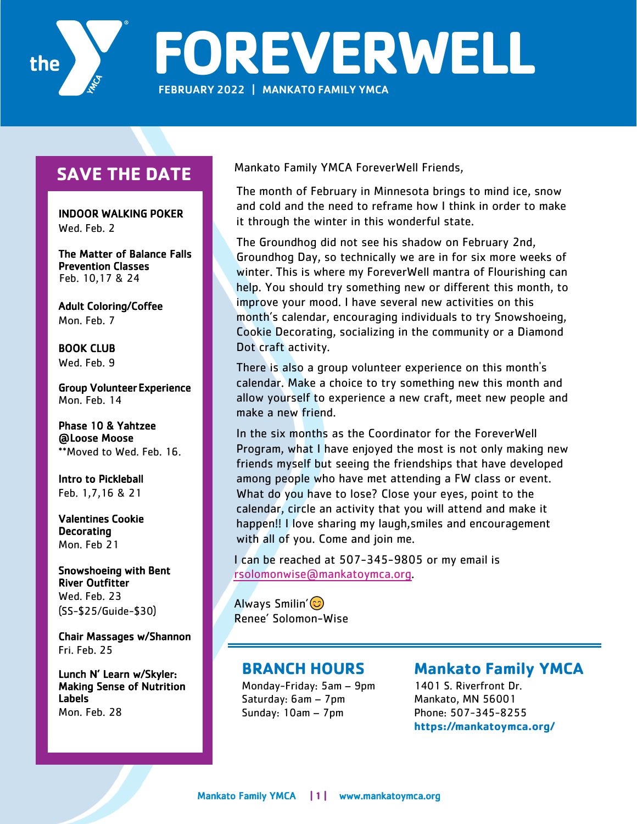

# **SAVE THE DATE**

 INDOOR WALKING POKER Wed. Feb. 2

The Matter of Balance Falls Prevention Classes Feb. 10,17 & 24

Adult Coloring/Coffee Mon. Feb. 7

BOOK CLUB Wed. Feb. 9

Group Volunteer Experience Mon. Feb. 14

Phase 10 & Yahtzee @ Loose Moose \*\*Moved to Wed. Feb. 16.

Intro to Pickleball Feb. 1,7,16 & 21

Valentines Cookie Decorating Mon. Feb 21

Snowshoeing with Bent River Outfitter Wed. Feb. 23 (SS-\$25/Guide-\$30)

Chair Massages w/ Shannon Fri. Feb. 25

Lunch N' Learn w/Skyler: Making Sense of Nutrition Labels Mon. Feb. 28

Mankato Family YMCA ForeverWell Friends,

The month of February in Minnesota brings to mind ice, snow and cold and the need to reframe how I think in order to make it through the winter in this wonderful state.

The Groundhog did not see his shadow on February 2nd, Groundhog Day, so technically we are in for six more weeks of winter. This is where my ForeverWell mantra of Flourishing can help. You should try something new or different this month, to improve your mood. I have several new activities on this month's calendar, encouraging individuals to try Snowshoeing, Cookie Decorating, socializing in the community or a Diamond Dot craft activity.

There is also a group volunteer experience on this month's calendar. Make a choice to try something new this month and allow yourself to experience a new craft, meet new people and make a new friend.

In the six months as the Coordinator for the ForeverWell Program, what I have enjoyed the most is not only making new friends myself but seeing the friendships that have developed among people who have met attending a FW class or event. What do you have to lose? Close your eyes, point to the calendar, circle an activity that you will attend and make it happen!! I love sharing my laugh, smiles and encouragement with all of you. Come and join me.

I can be reached at 507-345-9805 or my email is rsolomonwise@mankatoymca.org.

Always Smilin'  $\circledcirc$ Renee' Solomon-Wise

## **BRANCH HOURS**

Monday-Friday: 5am – 9pm Saturday: 6am – 7pm Sunday: 10am – 7pm

## **Mankato Family YMCA**

1401 S. Riverfront Dr. Mankato, MN 56001 Phone: 507-345-8255 **https://mankatoymca.org/**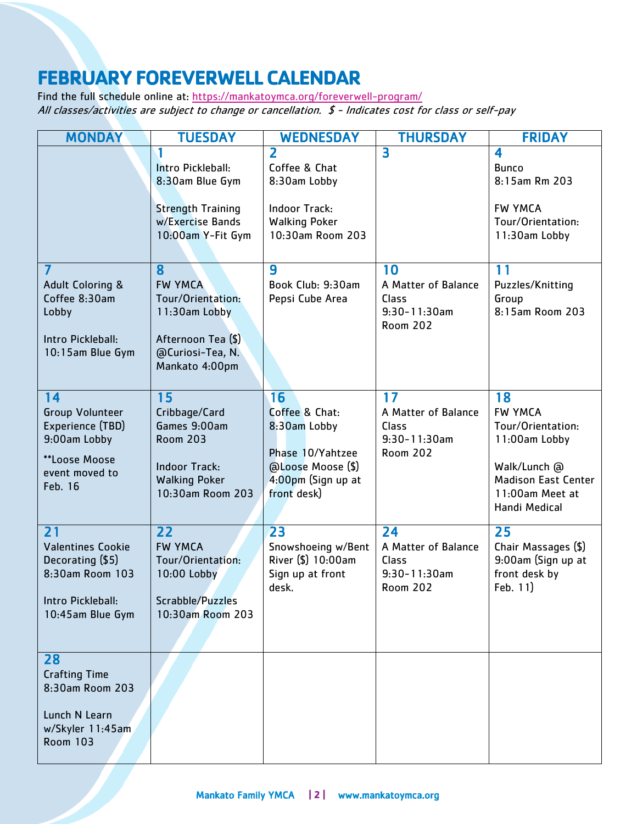# **FEBRUARY FOREVERWELL CALENDAR**

Find the full schedule online at: https://mankatoymca.org/foreverwell-program/ All classes/activities are subject to change or cancellation. \$ - Indicates cost for class or self-pay

| <b>MONDAY</b>                                                                                                    | <b>TUESDAY</b>                                                                                                             | <b>WEDNESDAY</b>                                                                                                             | <b>THURSDAY</b>                                                            | <b>FRIDAY</b>                                                                                                                                |
|------------------------------------------------------------------------------------------------------------------|----------------------------------------------------------------------------------------------------------------------------|------------------------------------------------------------------------------------------------------------------------------|----------------------------------------------------------------------------|----------------------------------------------------------------------------------------------------------------------------------------------|
|                                                                                                                  | Intro Pickleball:<br>8:30am Blue Gym<br><b>Strength Training</b><br>w/Exercise Bands<br>10:00am Y-Fit Gym                  | $\overline{\mathbf{2}}$<br>Coffee & Chat<br>8:30am Lobby<br><b>Indoor Track:</b><br><b>Walking Poker</b><br>10:30am Room 203 | 3                                                                          | $\overline{\mathbf{4}}$<br><b>Bunco</b><br>8:15am Rm 203<br><b>FW YMCA</b><br>Tour/Orientation:<br>11:30am Lobby                             |
| $\overline{7}$<br><b>Adult Coloring &amp;</b><br>Coffee 8:30am<br>Lobby<br>Intro Pickleball:<br>10:15am Blue Gym | 8<br><b>FW YMCA</b><br>Tour/Orientation:<br>11:30am Lobby<br>Afternoon Tea (\$)<br>@Curiosi-Tea, N.<br>Mankato 4:00pm      | 9<br>Book Club: 9:30am<br>Pepsi Cube Area                                                                                    | 10<br>A Matter of Balance<br>Class<br>$9:30 - 11:30$ am<br><b>Room 202</b> | 11<br>Puzzles/Knitting<br>Group<br>8:15am Room 203                                                                                           |
| 14<br><b>Group Volunteer</b><br>Experience (TBD)<br>9:00am Lobby<br>**Loose Moose<br>event moved to<br>Feb. 16   | 15<br>Cribbage/Card<br>Games 9:00am<br><b>Room 203</b><br><b>Indoor Track:</b><br><b>Walking Poker</b><br>10:30am Room 203 | 16<br>Coffee & Chat:<br>8:30am Lobby<br>Phase 10/Yahtzee<br>@Loose Moose (\$)<br>4:00pm (Sign up at<br>front desk)           | 17<br>A Matter of Balance<br>Class<br>$9:30 - 11:30$ am<br><b>Room 202</b> | 18<br><b>FW YMCA</b><br>Tour/Orientation:<br>11:00am Lobby<br>Walk/Lunch @<br><b>Madison East Center</b><br>11:00am Meet at<br>Handi Medical |
| 21<br><b>Valentines Cookie</b><br>Decorating (\$5)<br>8:30am Room 103<br>Intro Pickleball:<br>10:45am Blue Gym   | 22<br><b>FW YMCA</b><br>Tour/Orientation:<br>10:00 Lobby<br>Scrabble/Puzzles<br>10:30am Room 203                           | 23<br>Snowshoeing w/Bent<br>River (\$) 10:00am<br>Sign up at front<br>desk.                                                  | 24<br>A Matter of Balance<br>Class<br>$9:30 - 11:30$ am<br><b>Room 202</b> | 25<br>Chair Massages (\$)<br>9:00am (Sign up at<br>front desk by<br>Feb. 11)                                                                 |
| 28<br><b>Crafting Time</b><br>8:30am Room 203<br>Lunch N Learn<br>w/Skyler 11:45am<br><b>Room 103</b>            |                                                                                                                            |                                                                                                                              |                                                                            |                                                                                                                                              |